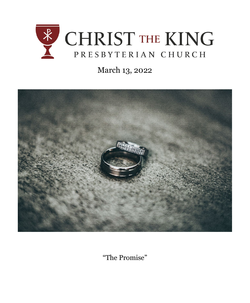

# March 13, 2022



"The Promise"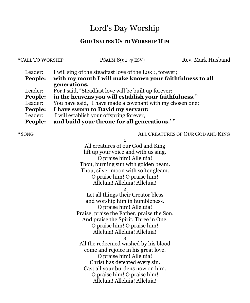## Lord's Day Worship

### **GOD INVITES US TO WORSHIP HIM**

| *CALL TO WORSHIP              |                                                                                                                                                                              | PSALM 89:1-4 $(ESV)$ | Rev. Mark Husband                 |
|-------------------------------|------------------------------------------------------------------------------------------------------------------------------------------------------------------------------|----------------------|-----------------------------------|
| Leader:<br>People:            | I will sing of the steadfast love of the LORD, forever;<br>with my mouth I will make known your faithfulness to all<br>generations.                                          |                      |                                   |
| Leader:<br>People:<br>Leader: | For I said, "Steadfast love will be built up forever;<br>in the heavens you will establish your faithfulness."<br>You have said, "I have made a covenant with my chosen one; |                      |                                   |
| People:<br>Leader:<br>People: | I have sworn to David my servant:<br>'I will establish your offspring forever,<br>and build your throne for all generations.'"                                               |                      |                                   |
| *SONG                         |                                                                                                                                                                              |                      | ALL CREATURES OF OUR GOD AND KING |

1 All creatures of our God and King lift up your voice and with us sing. O praise him! Alleluia! Thou, burning sun with golden beam. Thou, silver moon with softer gleam. O praise him! O praise him! Alleluia! Alleluia! Alleluia!  $\Omega$ Let all things their Creator bless and worship him in humbleness. O praise him! Alleluia! Praise, praise the Father, praise the Son. And praise the Spirit, Three in One. O praise him! O praise him! Alleluia! Alleluia! Alleluia! 3 All the redeemed washed by his blood come and rejoice in his great love. O praise him! Alleluia! Christ has defeated every sin. Cast all your burdens now on him. O praise him! O praise him! Alleluia! Alleluia! Alleluia!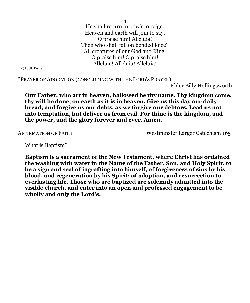4 He shall return in pow'r to reign. Heaven and earth will join to say. O praise him! Alleluia! Then who shall fall on bended knee? All creatures of our God and King. O praise him! O praise him! Alleluia! Alleluia! Alleluia!

© Public Domain

\*PRAYER OF ADORATION (CONCLUDING WITH THE LORD'S PRAYER)

Elder Billy Hollingsworth

**Our Father, who art in heaven, hallowed be thy name. Thy kingdom come, thy will be done, on earth as it is in heaven. Give us this day our daily bread, and forgive us our debts, as we forgive our debtors. Lead us not into temptation, but deliver us from evil. For thine is the kingdom, and the power, and the glory forever and ever. Amen.**

AFFIRMATION OF FAITH Westminster Larger Catechism 165

What is Baptism?

**Baptism is a sacrament of the New Testament, where Christ has ordained the washing with water in the Name of the Father, Son, and Holy Spirit, to be a sign and seal of ingrafting into himself, of forgiveness of sins by his blood, and regeneration by his Spirit; of adoption, and resurrection to everlasting life. Those who are baptized are solemnly admitted into the visible church, and enter into an open and professed engagement to be wholly and only the Lord's.**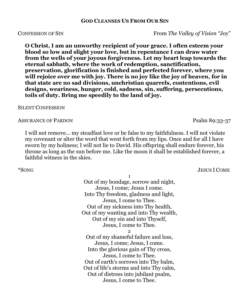#### **GOD CLEANSES US FROM OUR SIN**

**O Christ, I am an unworthy recipient of your grace. I often esteem your blood so low and slight your love, but in repentance I can draw water from the wells of your joyous forgiveness. Let my heart leap towards the eternal sabbath, where the work of redemption, sanctification, preservation, glorification is finished and perfected forever, where you will rejoice over me with joy. There is no joy like the joy of heaven, for in that state are no sad divisions, unchristian quarrels, contentions, evil designs, weariness, hunger, cold, sadness, sin, suffering, persecutions, toils of duty. Bring me speedily to the land of joy.**

#### SILENT CONFESSION

#### ASSURANCE OF PARDON PSALM 89:33-37

I will not remove... my steadfast love or be false to my faithfulness. I will not violate my covenant or alter the word that went forth from my lips. Once and for all I have sworn by my holiness; I will not lie to David. His offspring shall endure forever, his throne as long as the sun before me. Like the moon it shall be established forever, a faithful witness in the skies.

1 Out of my bondage, sorrow and night, Jesus, I come; Jesus I come. Into Thy freedom, gladness and light, Jesus, I come to Thee. Out of my sickness into Thy health, Out of my wanting and into Thy wealth, Out of my sin and into Thyself, Jesus, I come to Thee. 2 Out of my shameful failure and loss,

Jesus, I come; Jesus, I come. Into the glorious gain of Thy cross, Jesus, I come to Thee. Out of earth's sorrows into Thy balm, Out of life's storms and into Thy calm, Out of distress into jubilant psalm, Jesus, I come to Thee.

## \*SONG JESUS I COME

CONFESSION OF SIN From *The Valley of Vision "*Joy"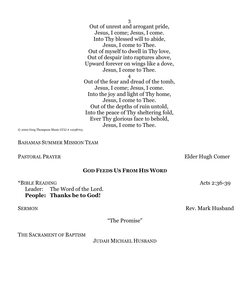Out of unrest and arrogant pride, Jesus, I come; Jesus, I come. Into Thy blessed will to abide, Jesus, I come to Thee. Out of myself to dwell in Thy love, Out of despair into raptures above, Upward forever on wings like a dove, Jesus, I come to Thee. 4 Out of the fear and dread of the tomb, Jesus, I come; Jesus, I come. Into the joy and light of Thy home, Jesus, I come to Thee. Out of the depths of ruin untold, Into the peace of Thy sheltering fold, Ever Thy glorious face to behold, Jesus, I come to Thee.

3

© 2000 Greg Thompson Music CCLI # 11058703

BAHAMAS SUMMER MISSION TEAM

#### PASTORAL PRAYER Elder Hugh Comer

#### **GOD FEEDS US FROM HIS WORD**

\*BIBLE READING Acts 2:36-39 Leader: The Word of the Lord. **People: Thanks be to God!**

SERMON Rev. Mark Husband

"The Promise"

THE SACRAMENT OF BAPTISM

JUDAH MICHAEL HUSBAND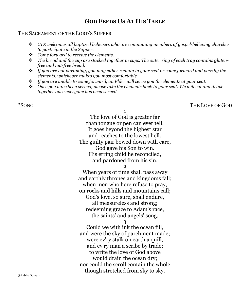### **GOD FEEDS US AT HIS TABLE**

#### THE SACRAMENT OF THE LORD'S SUPPER

- *CTK welcomes all baptized believers who are communing members of gospel-believing churches to participate in the Supper.*
- *Come forward to receive the elements.*
- *The bread and the cup are stacked together in cups. The outer ring of each tray contains glutenfree and nut-free bread.*
- *If you are not partaking, you may either remain in your seat or come forward and pass by the elements, whichever makes you most comfortable.*
- *If you are unable to come forward, an Elder will serve you the elements at your seat.*
- *Once you have been served, please take the elements back to your seat. We will eat and drink together once everyone has been served.*

\*SONG THE LOVE OF GOD

1

The love of God is greater far than tongue or pen can ever tell. It goes beyond the highest star and reaches to the lowest hell. The guilty pair bowed down with care, God gave his Son to win. His erring child he reconciled, and pardoned from his sin.

 $\Omega$ 

When years of time shall pass away and earthly thrones and kingdoms fall; when men who here refuse to pray, on rocks and hills and mountains call; God's love, so sure, shall endure, all measureless and strong; redeeming grace to Adam's race, the saints' and angels' song.

3

Could we with ink the ocean fill, and were the sky of parchment made; were ev'ry stalk on earth a quill, and ev'ry man a scribe by trade; to write the love of God above would drain the ocean dry; nor could the scroll contain the whole though stretched from sky to sky.

@Public Domain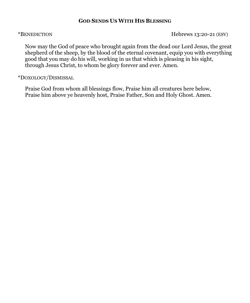#### **GOD SENDS US WITH HIS BLESSING**

\*BENEDICTION Hebrews 13:20-21 (ESV)

Now may the God of peace who brought again from the dead our Lord Jesus, the great shepherd of the sheep, by the blood of the eternal covenant, equip you with everything good that you may do his will, working in us that which is pleasing in his sight, through Jesus Christ, to whom be glory forever and ever. Amen.

#### \*DOXOLOGY/DISMISSAL

Praise God from whom all blessings flow, Praise him all creatures here below, Praise him above ye heavenly host, Praise Father, Son and Holy Ghost. Amen.